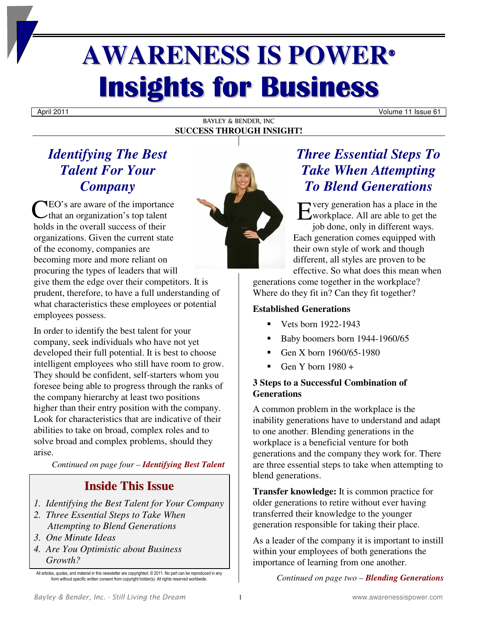# **AWARENESS IS POWER® Insights for Business**

April 2011 Volume 11 Issue 61

### BAYLEY & BENDER, INC **SUCCESS THROUGH INSIGHT!**

### *Identifying The Best Talent For Your Company*

CEO's are aware of the importance<br>
that an organization's top talent<br>
halds in the currell success of their that an organization's top talent holds in the overall success of their organizations. Given the current state of the economy, companies are becoming more and more reliant on procuring the types of leaders that will give them the edge over their competitors. It is prudent, therefore, to have a full understanding of what characteristics these employees or potential employees possess.

In order to identify the best talent for your company, seek individuals who have not yet developed their full potential. It is best to choose intelligent employees who still have room to grow. They should be confident, self-starters whom you foresee being able to progress through the ranks of the company hierarchy at least two positions higher than their entry position with the company. Look for characteristics that are indicative of their abilities to take on broad, complex roles and to solve broad and complex problems, should they arise.

*Continued on page four – Identifying Best Talent*

### **Inside This Issue**

- *1. Identifying the Best Talent for Your Company*
- *2. Three Essential Steps to Take When Attempting to Blend Generations*
- *3. One Minute Ideas*
- *4. Are You Optimistic about Business Growth?*



### *Three Essential Steps To Take When Attempting To Blend Generations*

very generation has a place in the workplace. All are able to get the job done, only in different ways. Each generation comes equipped with their own style of work and though different, all styles are proven to be effective. So what does this mean when

generations come together in the workplace? Where do they fit in? Can they fit together?

### **Established Generations**

- Vets born 1922-1943
- Baby boomers born 1944-1960/65
- Gen X born 1960/65-1980
- Gen Y born 1980 +

### **3 Steps to a Successful Combination of Generations**

A common problem in the workplace is the inability generations have to understand and adapt to one another. Blending generations in the workplace is a beneficial venture for both generations and the company they work for. There are three essential steps to take when attempting to blend generations.

**Transfer knowledge:** It is common practice for older generations to retire without ever having transferred their knowledge to the younger generation responsible for taking their place.

As a leader of the company it is important to instill within your employees of both generations the importance of learning from one another.

*Continued on page two – Blending Generations*

All articles, quotes, and material in this newsletter are copyrighted. © 2011. No part can be reproduced in any form without specific written consent from copyright holder(s). All rights reserved worldwide.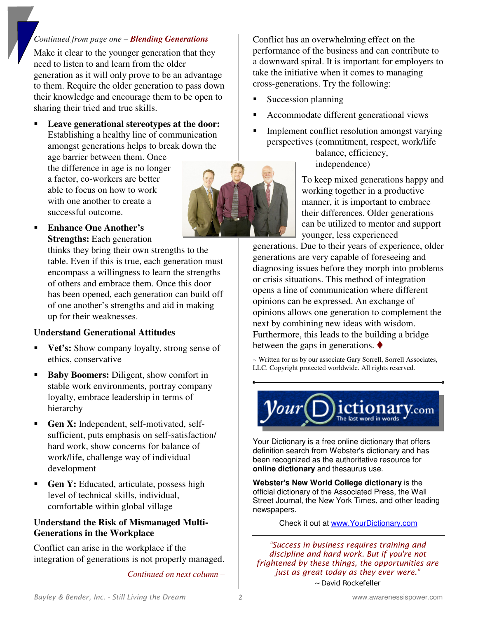### *Continued from page one – Blending Generations*

Make it clear to the younger generation that they need to listen to and learn from the older generation as it will only prove to be an advantage to them. Require the older generation to pass down their knowledge and encourage them to be open to sharing their tried and true skills.

 **Leave generational stereotypes at the door:**  Establishing a healthy line of communication amongst generations helps to break down the

age barrier between them. Once the difference in age is no longer a factor, co-workers are better able to focus on how to work with one another to create a successful outcome.



 **Enhance One Another's Strengths:** Each generation

> thinks they bring their own strengths to the table. Even if this is true, each generation must encompass a willingness to learn the strengths of others and embrace them. Once this door has been opened, each generation can build off of one another's strengths and aid in making up for their weaknesses.

### **Understand Generational Attitudes**

- **Vet's:** Show company loyalty, strong sense of ethics, conservative
- **Baby Boomers:** Diligent, show comfort in stable work environments, portray company loyalty, embrace leadership in terms of hierarchy
- **Gen X:** Independent, self-motivated, selfsufficient, puts emphasis on self-satisfaction/ hard work, show concerns for balance of work/life, challenge way of individual development
- **Gen Y:** Educated, articulate, possess high level of technical skills, individual, comfortable within global village

### **Understand the Risk of Mismanaged Multi-Generations in the Workplace**

Conflict can arise in the workplace if the integration of generations is not properly managed.

*Continued on next column –* 

Conflict has an overwhelming effect on the performance of the business and can contribute to a downward spiral. It is important for employers to take the initiative when it comes to managing cross-generations. Try the following:

- Succession planning
- Accommodate different generational views
- Implement conflict resolution amongst varying perspectives (commitment, respect, work/life balance, efficiency,

independence)

To keep mixed generations happy and working together in a productive manner, it is important to embrace their differences. Older generations can be utilized to mentor and support younger, less experienced

generations. Due to their years of experience, older generations are very capable of foreseeing and diagnosing issues before they morph into problems or crisis situations. This method of integration opens a line of communication where different opinions can be expressed. An exchange of opinions allows one generation to complement the next by combining new ideas with wisdom. Furthermore, this leads to the building a bridge between the gaps in generations.  $\blacklozenge$ 

~ Written for us by our associate Gary Sorrell, Sorrell Associates, LLC. Copyright protected worldwide. All rights reserved.



Your Dictionary is a free online dictionary that offers definition search from Webster's dictionary and has been recognized as the authoritative resource for **online dictionary** and thesaurus use.

**Webster's New World College dictionary** is the official dictionary of the Associated Press, the Wall Street Journal, the New York Times, and other leading newspapers.

Check it out at www.YourDictionary.com

*"Success in business requires training and discipline and hard work. But if you're not frightened by these things, the opportunities are just as great today as they ever were." ~ David Rockefeller*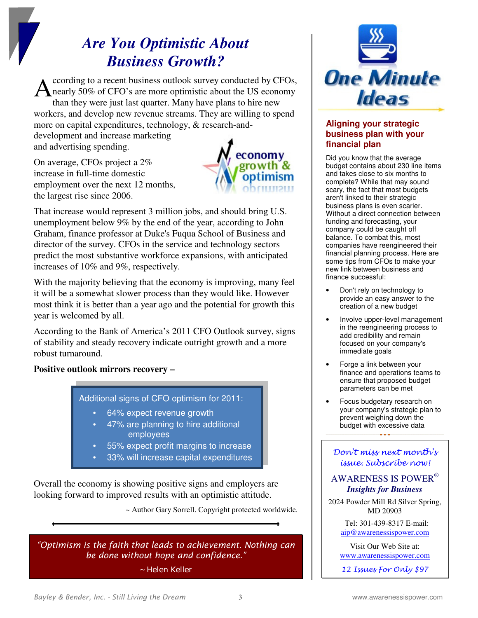## *Are You Optimistic About Business Growth?*

ccording to a recent business outlook survey conducted by CFOs, nearly 50% of CFO's are more optimistic about the US economy than they were just last quarter. Many have plans to hire new workers, and develop new revenue streams. They are willing to spend more on capital expenditures, technology, & research-and-A

development and increase marketing and advertising spending.

On average, CFOs project a 2% increase in full-time domestic employment over the next 12 months, the largest rise since 2006.



That increase would represent 3 million jobs, and should bring U.S. unemployment below 9% by the end of the year, according to John Graham, finance professor at Duke's Fuqua School of Business and director of the survey. CFOs in the service and technology sectors predict the most substantive workforce expansions, with anticipated increases of 10% and 9%, respectively.

With the majority believing that the economy is improving, many feel it will be a somewhat slower process than they would like. However most think it is better than a year ago and the potential for growth this year is welcomed by all.

According to the Bank of America's 2011 CFO Outlook survey, signs of stability and steady recovery indicate outright growth and a more robust turnaround.

**Positive outlook mirrors recovery –** 



- 64% expect revenue growth
- 47% are planning to hire additional employees
- 55% expect profit margins to increase
- 33% will increase capital expenditures

Overall the economy is showing positive signs and employers are looking forward to improved results with an optimistic attitude.

~ Author Gary Sorrell. Copyright protected worldwide.

*"Optimism is the faith that leads to achievement. Nothing can be done without hope and confidence."* 

*~ Helen Keller* 



### **Aligning your strategic business plan with your financial plan**

Did you know that the average budget contains about 230 line items and takes close to six months to complete? While that may sound scary, the fact that most budgets aren't linked to their strategic business plans is even scarier. Without a direct connection between funding and forecasting, your company could be caught off balance. To combat this, most companies have reengineered their financial planning process. Here are some tips from CFOs to make your new link between business and finance successful:

- Don't rely on technology to provide an easy answer to the creation of a new budget
- Involve upper-level management in the reengineering process to add credibility and remain focused on your company's immediate goals
- Forge a link between your finance and operations teams to ensure that proposed budget parameters can be met
- Focus budgetary research on your company's strategic plan to prevent weighing down the budget with excessive data

### Don't miss next month's issue. Subscribe now!

### AWARENESS IS POWER®  *Insights for Business*

2024 Powder Mill Rd Silver Spring, MD 20903

> Tel: 301-439-8317 E-mail: aip@awarenessispower.com

Visit Our Web Site at: www.awarenessispower.com

12 Issues For Only \$97